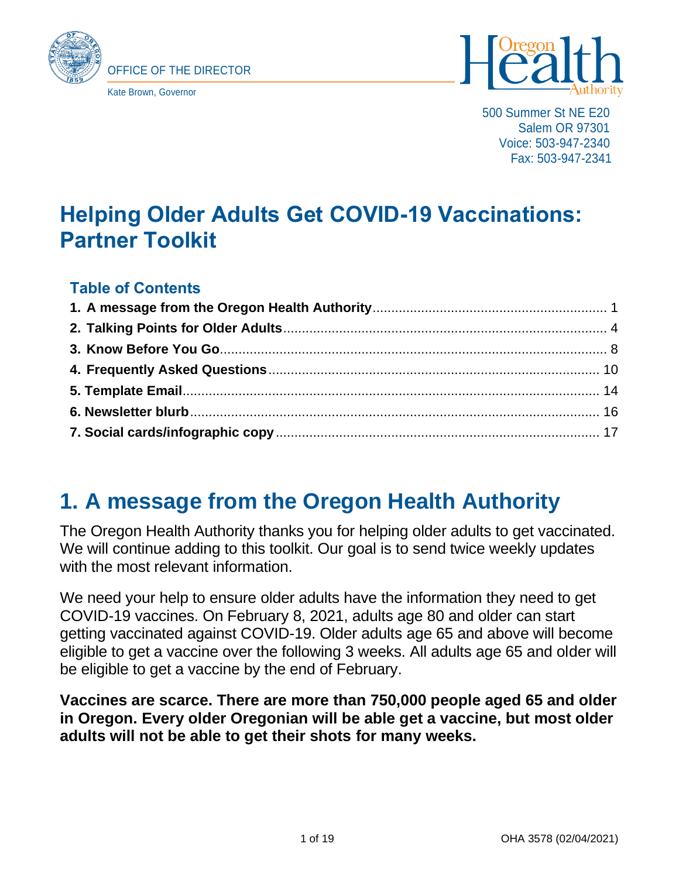



500 Summer St NE E20 Salem OR 97301 Voice: 503-947-2340 Fax: 503-947-2341

## **Helping Older Adults Get COVID-19 Vaccinations: Partner Toolkit**

#### **Table of Contents**

### <span id="page-0-0"></span>**1. A message from the Oregon Health Authority**

The Oregon Health Authority thanks you for helping older adults to get vaccinated. We will continue adding to this toolkit. Our goal is to send twice weekly updates with the most relevant information.

We need your help to ensure older adults have the information they need to get COVID-19 vaccines. On February 8, 2021, adults age 80 and older can start getting vaccinated against COVID-19. Older adults age 65 and above will become eligible to get a vaccine over the following 3 weeks. All adults age 65 and older will be eligible to get a vaccine by the end of February.

**Vaccines are scarce. There are more than 750,000 people aged 65 and older in Oregon. Every older Oregonian will be able get a vaccine, but most older adults will not be able to get their shots for many weeks.**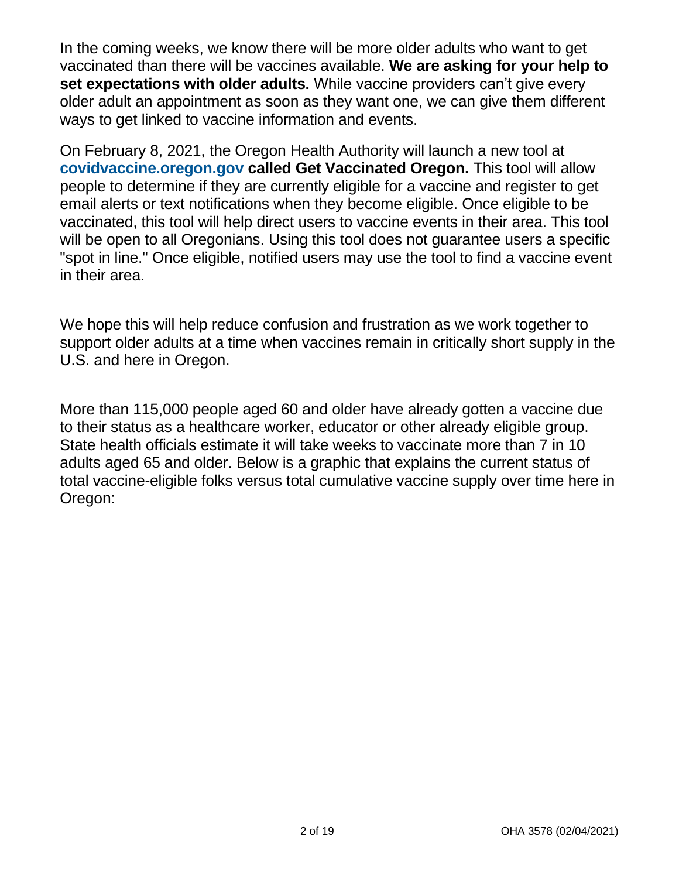In the coming weeks, we know there will be more older adults who want to get vaccinated than there will be vaccines available. **We are asking for your help to set expectations with older adults.** While vaccine providers can't give every older adult an appointment as soon as they want one, we can give them different ways to get linked to vaccine information and events.

On February 8, 2021, the Oregon Health Authority will launch a new tool at **[covidvaccine.oregon.gov](http://covidvaccine.oregon.gov/) called Get Vaccinated Oregon.** This tool will allow people to determine if they are currently eligible for a vaccine and register to get email alerts or text notifications when they become eligible. Once eligible to be vaccinated, this tool will help direct users to vaccine events in their area. This tool will be open to all Oregonians. Using this tool does not quarantee users a specific "spot in line." Once eligible, notified users may use the tool to find a vaccine event in their area.

We hope this will help reduce confusion and frustration as we work together to support older adults at a time when vaccines remain in critically short supply in the U.S. and here in Oregon.

More than 115,000 people aged 60 and older have already gotten a vaccine due to their status as a healthcare worker, educator or other already eligible group. State health officials estimate it will take weeks to vaccinate more than 7 in 10 adults aged 65 and older. Below is a graphic that explains the current status of total vaccine-eligible folks versus total cumulative vaccine supply over time here in Oregon: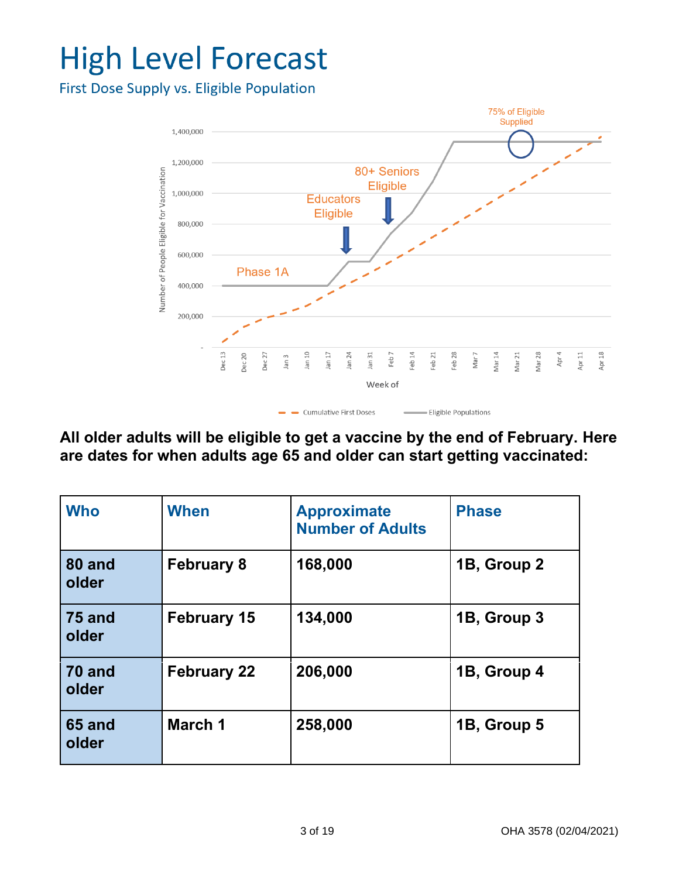# **High Level Forecast**

First Dose Supply vs. Eligible Population



**All older adults will be eligible to get a vaccine by the end of February. Here are dates for when adults age 65 and older can start getting vaccinated:**

| <b>Who</b>             | When               | <b>Approximate</b><br><b>Number of Adults</b> | <b>Phase</b> |
|------------------------|--------------------|-----------------------------------------------|--------------|
| 80 and<br>older        | <b>February 8</b>  | 168,000                                       | 1B, Group 2  |
| <b>75 and</b><br>older | <b>February 15</b> | 134,000                                       | 1B, Group 3  |
| 70 and<br>older        | <b>February 22</b> | 206,000                                       | 1B, Group 4  |
| <b>65 and</b><br>older | March 1            | 258,000                                       | 1B, Group 5  |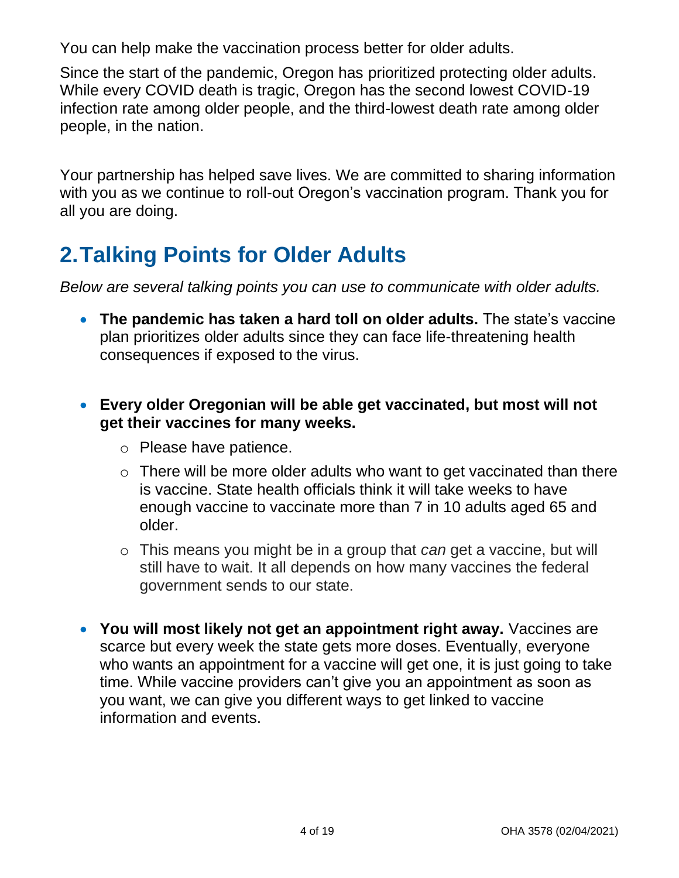You can help make the vaccination process better for older adults.

Since the start of the pandemic, Oregon has prioritized protecting older adults. While every COVID death is tragic, Oregon has the second lowest COVID-19 infection rate among older people, and the third-lowest death rate among older people, in the nation.

Your partnership has helped save lives. We are committed to sharing information with you as we continue to roll-out Oregon's vaccination program. Thank you for all you are doing.

### <span id="page-3-0"></span>**2.Talking Points for Older Adults**

*Below are several talking points you can use to communicate with older adults.* 

- **The pandemic has taken a hard toll on older adults.** The state's vaccine plan prioritizes older adults since they can face life-threatening health consequences if exposed to the virus.
- **Every older Oregonian will be able get vaccinated, but most will not get their vaccines for many weeks.**
	- o Please have patience.
	- $\circ$  There will be more older adults who want to get vaccinated than there is vaccine. State health officials think it will take weeks to have enough vaccine to vaccinate more than 7 in 10 adults aged 65 and older.
	- o This means you might be in a group that *can* get a vaccine, but will still have to wait. It all depends on how many vaccines the federal government sends to our state.
- **You will most likely not get an appointment right away.** Vaccines are scarce but every week the state gets more doses. Eventually, everyone who wants an appointment for a vaccine will get one, it is just going to take time. While vaccine providers can't give you an appointment as soon as you want, we can give you different ways to get linked to vaccine information and events.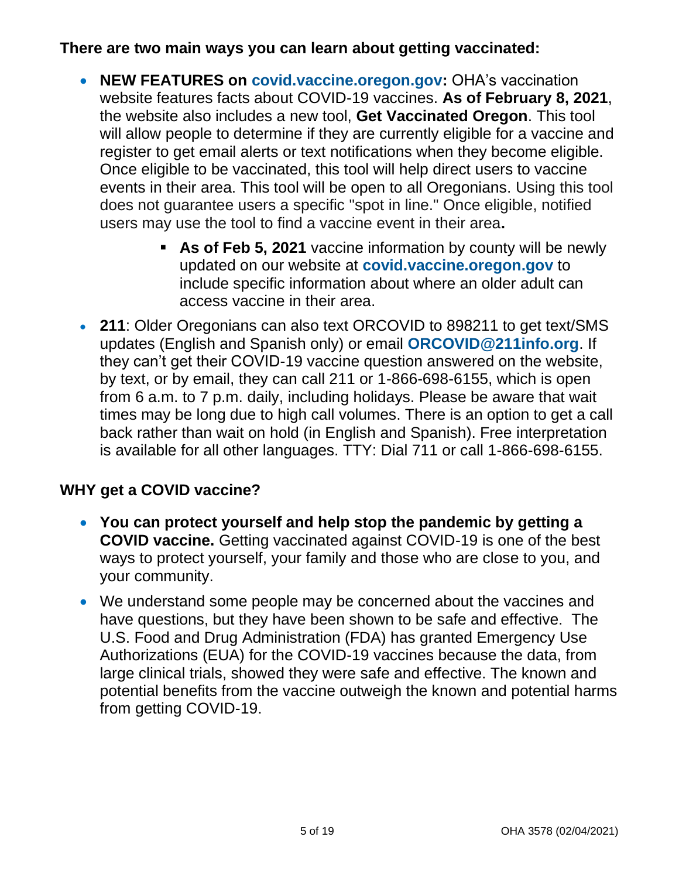#### **There are two main ways you can learn about getting vaccinated:**

- **NEW FEATURES on [covid.vaccine.oregon.gov:](https://covidvaccine.oregon.gov/)** OHA's vaccination website features facts about COVID-19 vaccines. **As of February 8, 2021**, the website also includes a new tool, **Get Vaccinated Oregon**. This tool will allow people to determine if they are currently eligible for a vaccine and register to get email alerts or text notifications when they become eligible. Once eligible to be vaccinated, this tool will help direct users to vaccine events in their area. This tool will be open to all Oregonians. Using this tool does not guarantee users a specific "spot in line." Once eligible, notified users may use the tool to find a vaccine event in their area**.**
	- **EXED 5, 2021** vaccine information by county will be newly updated on our website at **[covid.vaccine.oregon.gov](https://covidvaccine.oregon.gov/)** to include specific information about where an older adult can access vaccine in their area.
- **211**: Older Oregonians can also text ORCOVID to 898211 to get text/SMS updates (English and Spanish only) or email **[ORCOVID@211info.org](mailto:ORCOVID@211info.org)**. If they can't get their COVID-19 vaccine question answered on the website, by text, or by email, they can call 211 or 1-866-698-6155, which is open from 6 a.m. to 7 p.m. daily, including holidays. Please be aware that wait times may be long due to high call volumes. There is an option to get a call back rather than wait on hold (in English and Spanish). Free interpretation is available for all other languages. TTY: Dial 711 or call 1-866-698-6155.

#### **WHY get a COVID vaccine?**

- **You can protect yourself and help stop the pandemic by getting a COVID vaccine.** Getting vaccinated against COVID-19 is one of the best ways to protect yourself, your family and those who are close to you, and your community.
- We understand some people may be concerned about the vaccines and have questions, but they have been shown to be safe and effective. The U.S. Food and Drug Administration (FDA) has granted Emergency Use Authorizations (EUA) for the COVID-19 vaccines because the data, from large clinical trials, showed they were safe and effective. The known and potential benefits from the vaccine outweigh the known and potential harms from getting COVID-19.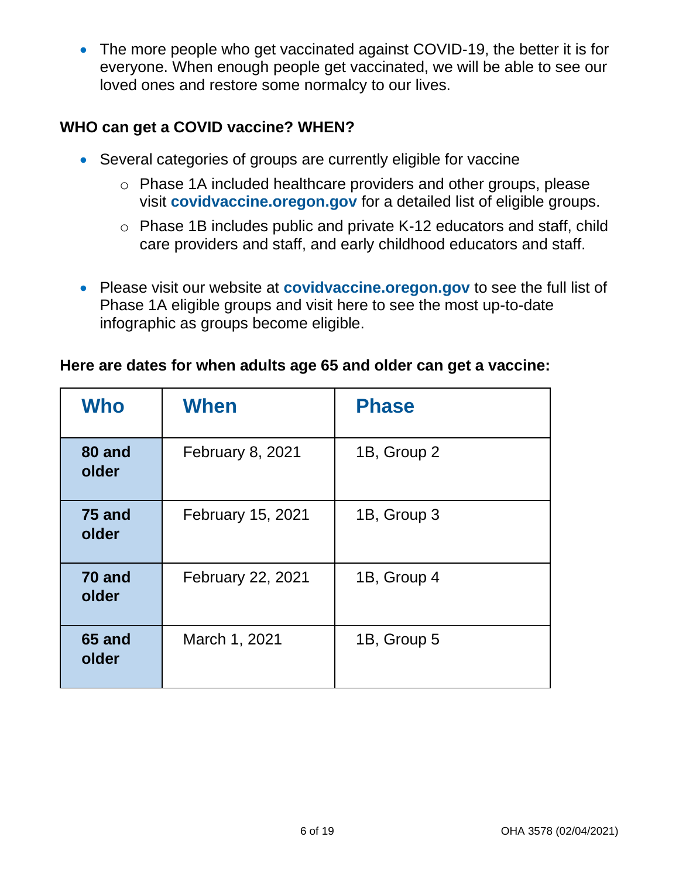• The more people who get vaccinated against COVID-19, the better it is for everyone. When enough people get vaccinated, we will be able to see our loved ones and restore some normalcy to our lives.

#### **WHO can get a COVID vaccine? WHEN?**

- Several categories of groups are currently eligible for vaccine
	- o Phase 1A included healthcare providers and other groups, please visit **[covidvaccine.oregon.gov](http://covidvaccine.oregon.gov/)** for a detailed list of eligible groups.
	- o Phase 1B includes public and private K-12 educators and staff, child care providers and staff, and early childhood educators and staff.
- Please visit our website at **[covidvaccine.oregon.gov](http://covidvaccine.oregon.gov/)** to see the full list of Phase 1A eligible groups and visit here to see the most up-to-date infographic as groups become eligible.

#### **Here are dates for when adults age 65 and older can get a vaccine:**

| <b>Who</b>      | When                    | <b>Phase</b> |
|-----------------|-------------------------|--------------|
| 80 and<br>older | <b>February 8, 2021</b> | 1B, Group 2  |
| 75 and<br>older | February 15, 2021       | 1B, Group 3  |
| 70 and<br>older | February 22, 2021       | 1B, Group 4  |
| 65 and<br>older | March 1, 2021           | 1B, Group 5  |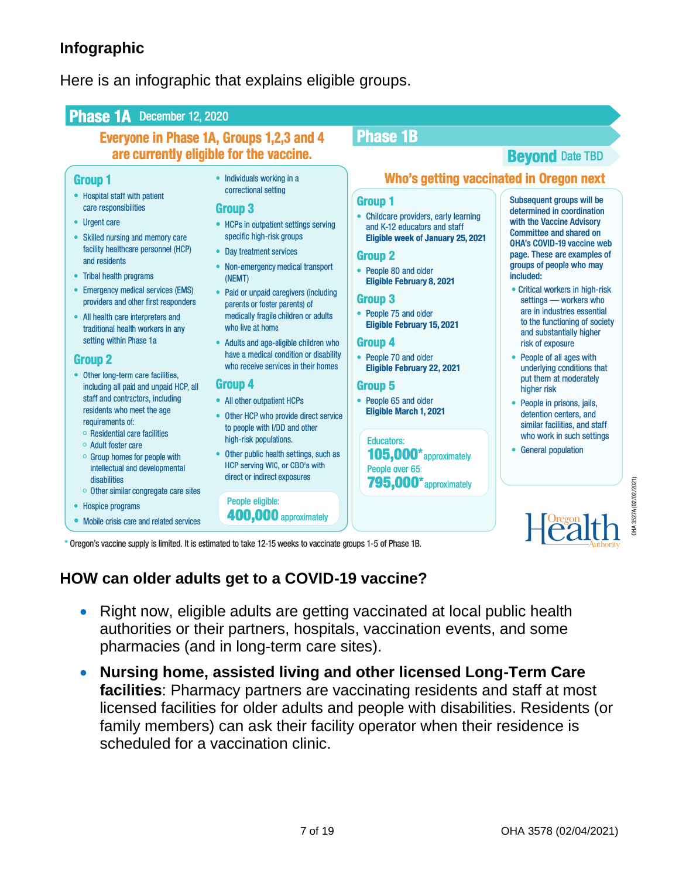#### **Infographic**

Here is an infographic that explains eligible groups.

#### Phase 1A December 12, 2020 **Phase 1B Everyone in Phase 1A, Groups 1,2,3 and 4** are currently eligible for the vaccine. **Bevond Date TBD** Who's getting vaccinated in Oregon next **Group 1** • Individuals working in a correctional setting • Hospital staff with patient Subsequent groups will be **Group 1** care responsibilities Group 3 determined in coordination Childcare providers, early learning • Urgent care with the Vaccine Advisory • HCPs in outpatient settings serving and K-12 educators and staff **Committee and shared on** • Skilled nursing and memory care specific high-risk groups Eligible week of January 25, 2021 **OHA's COVID-19 vaccine web** facility healthcare personnel (HCP) • Day treatment services page. These are examples of **Group 2** and residents groups of people who may • Non-emergency medical transport People 80 and older • Tribal health programs included: (NEMT) **Eligible February 8, 2021** • Emergency medical services (EMS) • Critical workers in high-risk Paid or unpaid caregivers (including ۰ Group<sub>3</sub> settings - workers who providers and other first responders parents or foster parents) of are in industries essential People 75 and older medically fragile children or adults • All health care interpreters and to the functioning of society **Eligible February 15, 2021** traditional health workers in any who live at home and substantially higher setting within Phase 1a • Adults and age-eligible children who Group 4 risk of exposure have a medical condition or disability People 70 and older • People of all ages with **Group 2** who receive services in their homes Eligible February 22, 2021 underlying conditions that • Other long-term care facilities. put them at moderately Group 4 including all paid and unpaid HCP, all Group 5 higher risk staff and contractors, including • All other outpatient HCPs People 65 and older • People in prisons, jails, residents who meet the age Eligible March 1, 2021 detention centers, and • Other HCP who provide direct service requirements of: similar facilities, and staff to people with I/DD and other **O** Residential care facilities who work in such settings high-risk populations. **Educators:** ○ Adult foster care • General population Other public health settings, such as  $105.000*$  approximately ○ Group homes for people with HCP serving WIC, or CBO's with intellectual and developmental People over 65: direct or indirect exposures disabilities 795,000\* approximately • Other similar congregate care sites People eligible: • Hospice programs 400,000 approximately • Mobile crisis care and related services

\* Oregon's vaccine supply is limited. It is estimated to take 12-15 weeks to vaccinate groups 1-5 of Phase 1B.

#### **HOW can older adults get to a COVID-19 vaccine?**

- Right now, eligible adults are getting vaccinated at local public health authorities or their partners, hospitals, vaccination events, and some pharmacies (and in long-term care sites).
- **Nursing home, assisted living and other licensed Long-Term Care facilities**: Pharmacy partners are vaccinating residents and staff at most licensed facilities for older adults and people with disabilities. Residents (or family members) can ask their facility operator when their residence is scheduled for a vaccination clinic.

JHA 3527A (02/02/2021)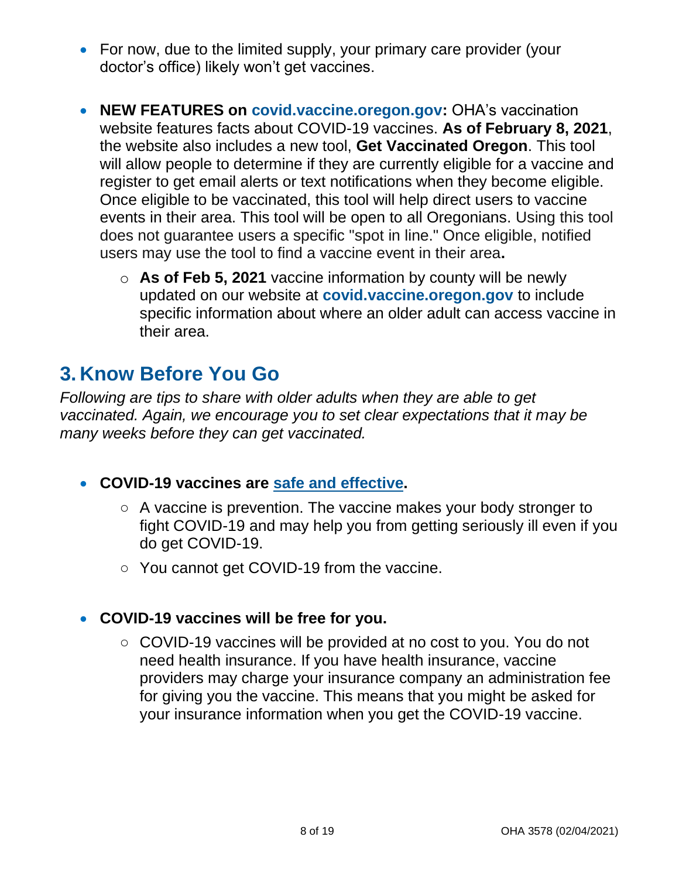- For now, due to the limited supply, your primary care provider (your doctor's office) likely won't get vaccines.
- **NEW FEATURES on [covid.vaccine.oregon.gov:](https://covidvaccine.oregon.gov/)** OHA's vaccination website features facts about COVID-19 vaccines. **As of February 8, 2021**, the website also includes a new tool, **Get Vaccinated Oregon**. This tool will allow people to determine if they are currently eligible for a vaccine and register to get email alerts or text notifications when they become eligible. Once eligible to be vaccinated, this tool will help direct users to vaccine events in their area. This tool will be open to all Oregonians. Using this tool does not guarantee users a specific "spot in line." Once eligible, notified users may use the tool to find a vaccine event in their area**.**
	- o **As of Feb 5, 2021** vaccine information by county will be newly updated on our website at **[covid.vaccine.oregon.gov](https://covidvaccine.oregon.gov/)** to include specific information about where an older adult can access vaccine in their area.

### <span id="page-7-0"></span>**3. Know Before You Go**

*Following are tips to share with older adults when they are able to get vaccinated. Again, we encourage you to set clear expectations that it may be many weeks before they can get vaccinated.*

- **COVID-19 vaccines are [safe and effective.](https://www.cdc.gov/coronavirus/2019-ncov/vaccines/vaccine-benefits.html)** 
	- A vaccine is prevention. The vaccine makes your body stronger to fight COVID-19 and may help you from getting seriously ill even if you do get COVID-19.
	- You cannot get COVID-19 from the vaccine.
- **COVID-19 vaccines will be free for you.** 
	- COVID-19 vaccines will be provided at no cost to you. You do not need health insurance. If you have health insurance, vaccine providers may charge your insurance company an administration fee for giving you the vaccine. This means that you might be asked for your insurance information when you get the COVID-19 vaccine.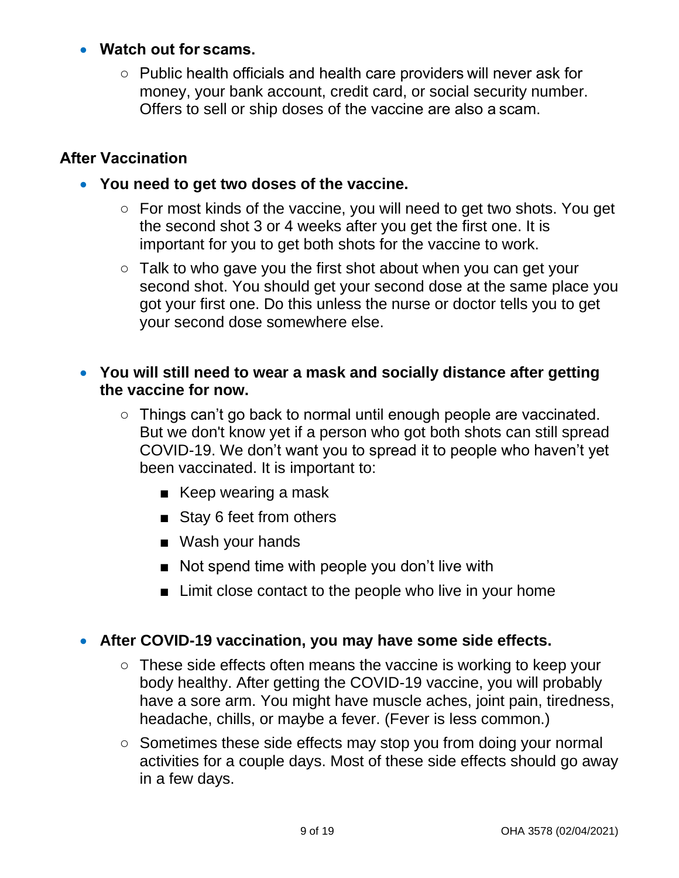#### • **Watch out for scams.**

○ Public health officials and health care providers will never ask for money, your bank account, credit card, or social security number. Offers to sell or ship doses of the vaccine are also a scam.

#### **After Vaccination**

- **You need to get two doses of the vaccine.** 
	- For most kinds of the vaccine, you will need to get two shots. You get the second shot 3 or 4 weeks after you get the first one. It is important for you to get both shots for the vaccine to work.
	- Talk to who gave you the first shot about when you can get your second shot. You should get your second dose at the same place you got your first one. Do this unless the nurse or doctor tells you to get your second dose somewhere else.
- **You will still need to wear a mask and socially distance after getting the vaccine for now.** 
	- Things can't go back to normal until enough people are vaccinated. But we don't know yet if a person who got both shots can still spread COVID-19. We don't want you to spread it to people who haven't yet been vaccinated. It is important to:
		- Keep wearing a mask
		- Stay 6 feet from others
		- Wash your hands
		- Not spend time with people you don't live with
		- Limit close contact to the people who live in your home

#### • **After COVID-19 vaccination, you may have some side effects.**

- These side effects often means the vaccine is working to keep your body healthy. After getting the COVID-19 vaccine, you will probably have a sore arm. You might have muscle aches, joint pain, tiredness, headache, chills, or maybe a fever. (Fever is less common.)
- Sometimes these side effects may stop you from doing your normal activities for a couple days. Most of these side effects should go away in a few days.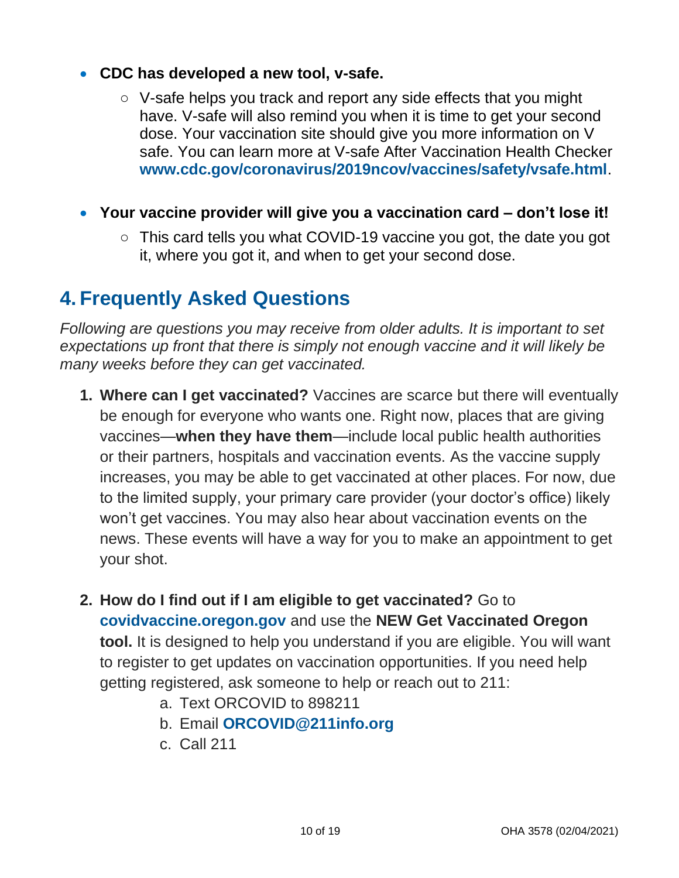#### • **CDC has developed a new tool, v-safe.**

- V-safe helps you track and report any side effects that you might have. V-safe will also remind you when it is time to get your second dose. Your vaccination site should give you more information on V safe. You can learn more at V-safe After Vaccination Health Checker **[www.cdc.gov/coronavirus/2019ncov/vaccines/safety/vsafe.html](http://www.cdc.gov/coronavirus/2019ncov/vaccines/safety/vsafe.html)**.
- **Your vaccine provider will give you a vaccination card – don't lose it!**
	- This card tells you what COVID-19 vaccine you got, the date you got it, where you got it, and when to get your second dose.

### <span id="page-9-0"></span>**4. Frequently Asked Questions**

*Following are questions you may receive from older adults. It is important to set expectations up front that there is simply not enough vaccine and it will likely be many weeks before they can get vaccinated.* 

- **1. Where can I get vaccinated?** Vaccines are scarce but there will eventually be enough for everyone who wants one. Right now, places that are giving vaccines—**when they have them**—include local public health authorities or their partners, hospitals and vaccination events. As the vaccine supply increases, you may be able to get vaccinated at other places. For now, due to the limited supply, your primary care provider (your doctor's office) likely won't get vaccines. You may also hear about vaccination events on the news. These events will have a way for you to make an appointment to get your shot.
- **2. How do I find out if I am eligible to get vaccinated?** Go to **[covidvaccine.oregon.gov](http://covidvaccine.oregon.gov/)** and use the **NEW Get Vaccinated Oregon tool.** It is designed to help you understand if you are eligible. You will want to register to get updates on vaccination opportunities. If you need help getting registered, ask someone to help or reach out to 211:
	- a. Text ORCOVID to 898211
	- b. Email **ORCOVID@211info.org**
	- c. Call 211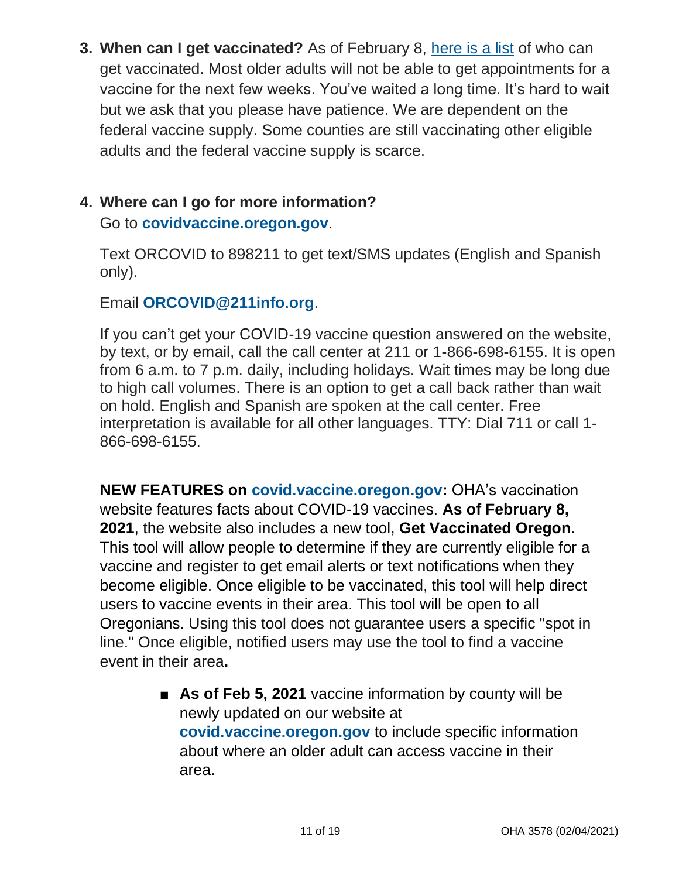**3. When can I get vaccinated?** As of February 8, [here is a list](https://sharedsystems.dhsoha.state.or.us/DHSForms/Served/le3527A.pdf) of who can get vaccinated. Most older adults will not be able to get appointments for a vaccine for the next few weeks. You've waited a long time. It's hard to wait but we ask that you please have patience. We are dependent on the federal vaccine supply. Some counties are still vaccinating other eligible adults and the federal vaccine supply is scarce.

### **4. Where can I go for more information?**

Go to **covidvaccine.oregon.gov**.

Text ORCOVID to 898211 to get text/SMS updates (English and Spanish only).

Email **ORCOVID@211info.org**.

If you can't get your COVID-19 vaccine question answered on the website, by text, or by email, call the call center at 211 or 1-866-698-6155. It is open from 6 a.m. to 7 p.m. daily, including holidays. Wait times may be long due to high call volumes. There is an option to get a call back rather than wait on hold. English and Spanish are spoken at the call center. Free interpretation is available for all other languages. TTY: Dial 711 or call 1- 866-698-6155.

**NEW FEATURES on [covid.vaccine.oregon.gov:](https://covidvaccine.oregon.gov/)** OHA's vaccination website features facts about COVID-19 vaccines. **As of February 8, 2021**, the website also includes a new tool, **Get Vaccinated Oregon**. This tool will allow people to determine if they are currently eligible for a vaccine and register to get email alerts or text notifications when they become eligible. Once eligible to be vaccinated, this tool will help direct users to vaccine events in their area. This tool will be open to all Oregonians. Using this tool does not guarantee users a specific "spot in line." Once eligible, notified users may use the tool to find a vaccine event in their area**.**

> ■ **As of Feb 5, 2021** vaccine information by county will be newly updated on our website at **[covid.vaccine.oregon.gov](https://covidvaccine.oregon.gov/)** to include specific information about where an older adult can access vaccine in their area.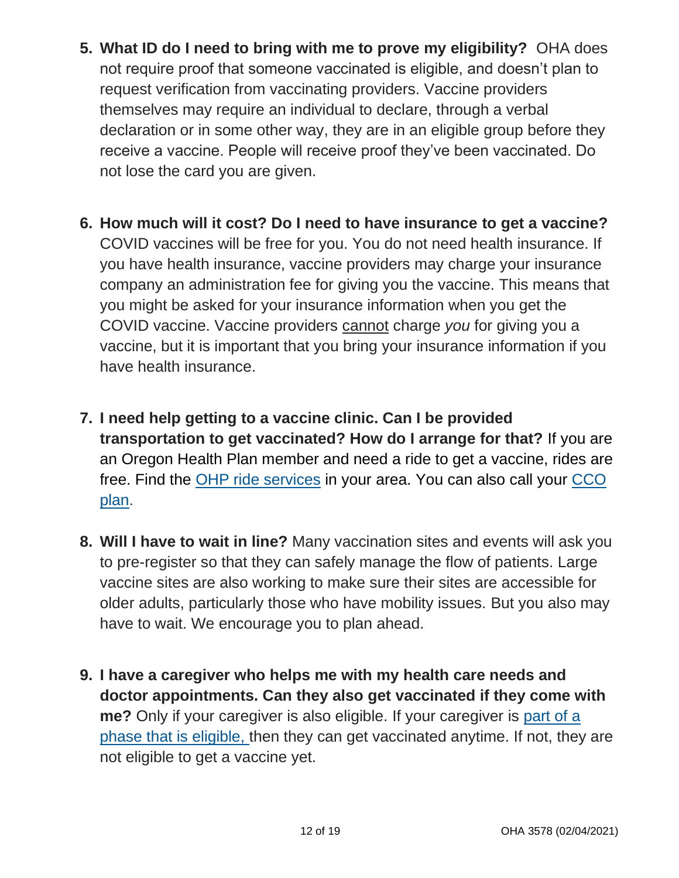- **5. What ID do I need to bring with me to prove my eligibility?** OHA does not require proof that someone vaccinated is eligible, and doesn't plan to request verification from vaccinating providers. Vaccine providers themselves may require an individual to declare, through a verbal declaration or in some other way, they are in an eligible group before they receive a vaccine. People will receive proof they've been vaccinated. Do not lose the card you are given.
- **6. How much will it cost? Do I need to have insurance to get a vaccine?**  COVID vaccines will be free for you. You do not need health insurance. If you have health insurance, vaccine providers may charge your insurance company an administration fee for giving you the vaccine. This means that you might be asked for your insurance information when you get the COVID vaccine. Vaccine providers cannot charge *you* for giving you a vaccine, but it is important that you bring your insurance information if you have health insurance.
- **7. I need help getting to a vaccine clinic. Can I be provided transportation to get vaccinated? How do I arrange for that?** If you are an Oregon Health Plan member and need a ride to get a vaccine, rides are free. Find the [OHP ride services](https://www.oregon.gov/oha/HSD/OHP/Pages/NEMT.aspx) in your area. You can also call your CCO [plan.](https://www.oregon.gov/oha/HSD/OHP/Pages/cco-plans.aspx)
- **8. Will I have to wait in line?** Many vaccination sites and events will ask you to pre-register so that they can safely manage the flow of patients. Large vaccine sites are also working to make sure their sites are accessible for older adults, particularly those who have mobility issues. But you also may have to wait. We encourage you to plan ahead.
- **9. I have a caregiver who helps me with my health care needs and doctor appointments. Can they also get vaccinated if they come with me?** Only if your caregiver is also eligible. If your caregiver is [part of a](https://sharedsystems.dhsoha.state.or.us/DHSForms/Served/le3527A.pdf)  [phase that is eligible,](https://sharedsystems.dhsoha.state.or.us/DHSForms/Served/le3527A.pdf) then they can get vaccinated anytime. If not, they are not eligible to get a vaccine yet.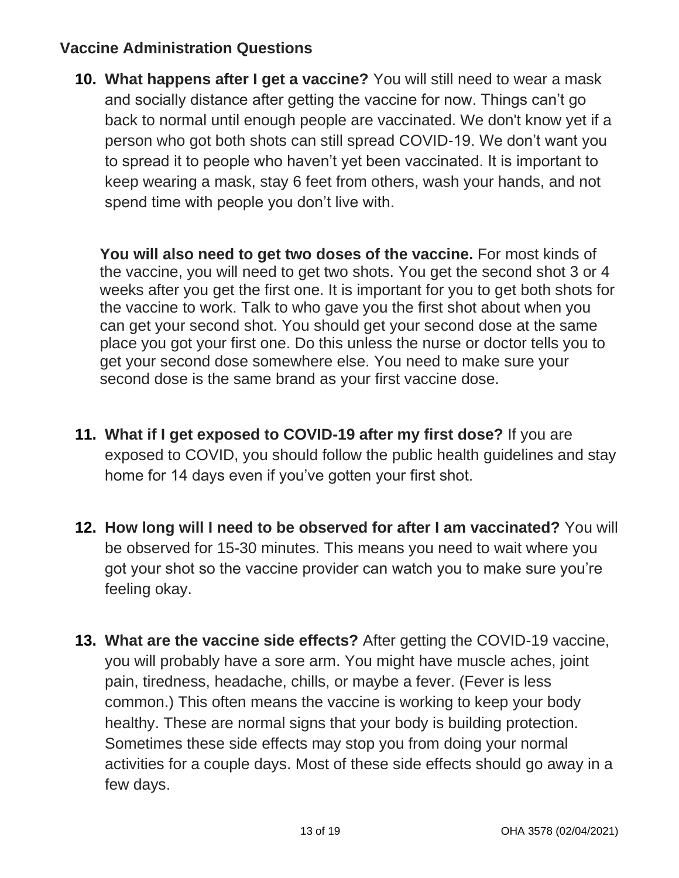#### **Vaccine Administration Questions**

**10. What happens after I get a vaccine?** You will still need to wear a mask and socially distance after getting the vaccine for now. Things can't go back to normal until enough people are vaccinated. We don't know yet if a person who got both shots can still spread COVID-19. We don't want you to spread it to people who haven't yet been vaccinated. It is important to keep wearing a mask, stay 6 feet from others, wash your hands, and not spend time with people you don't live with.

You will also need to get two doses of the vaccine. For most kinds of the vaccine, you will need to get two shots. You get the second shot 3 or 4 weeks after you get the first one. It is important for you to get both shots for the vaccine to work. Talk to who gave you the first shot about when you can get your second shot. You should get your second dose at the same place you got your first one. Do this unless the nurse or doctor tells you to get your second dose somewhere else. You need to make sure your second dose is the same brand as your first vaccine dose.

- **11. What if I get exposed to COVID-19 after my first dose?** If you are exposed to COVID, you should follow the public health guidelines and stay home for 14 days even if you've gotten your first shot.
- **12. How long will I need to be observed for after I am vaccinated?** You will be observed for 15-30 minutes. This means you need to wait where you got your shot so the vaccine provider can watch you to make sure you're feeling okay.
- **13. What are the vaccine side effects?** After getting the COVID-19 vaccine, you will probably have a sore arm. You might have muscle aches, joint pain, tiredness, headache, chills, or maybe a fever. (Fever is less common.) This often means the vaccine is working to keep your body healthy. These are normal signs that your body is building protection. Sometimes these side effects may stop you from doing your normal activities for a couple days. Most of these side effects should go away in a few days.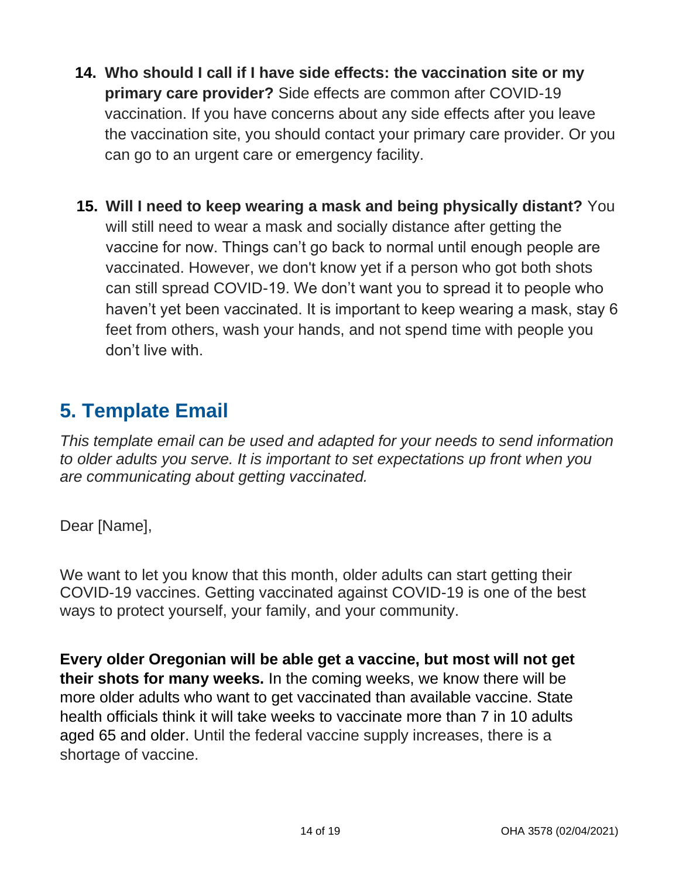- **14. Who should I call if I have side effects: the vaccination site or my primary care provider?** Side effects are common after COVID-19 vaccination. If you have concerns about any side effects after you leave the vaccination site, you should contact your primary care provider. Or you can go to an urgent care or emergency facility.
- **15. Will I need to keep wearing a mask and being physically distant?** You will still need to wear a mask and socially distance after getting the vaccine for now. Things can't go back to normal until enough people are vaccinated. However, we don't know yet if a person who got both shots can still spread COVID-19. We don't want you to spread it to people who haven't yet been vaccinated. It is important to keep wearing a mask, stay 6 feet from others, wash your hands, and not spend time with people you don't live with.

### <span id="page-13-0"></span>**5. Template Email**

*This template email can be used and adapted for your needs to send information to older adults you serve. It is important to set expectations up front when you are communicating about getting vaccinated.* 

Dear [Name],

We want to let you know that this month, older adults can start getting their COVID-19 vaccines. Getting vaccinated against COVID-19 is one of the best ways to protect yourself, your family, and your community.

**Every older Oregonian will be able get a vaccine, but most will not get their shots for many weeks.** In the coming weeks, we know there will be more older adults who want to get vaccinated than available vaccine. State health officials think it will take weeks to vaccinate more than 7 in 10 adults aged 65 and older. Until the federal vaccine supply increases, there is a shortage of vaccine.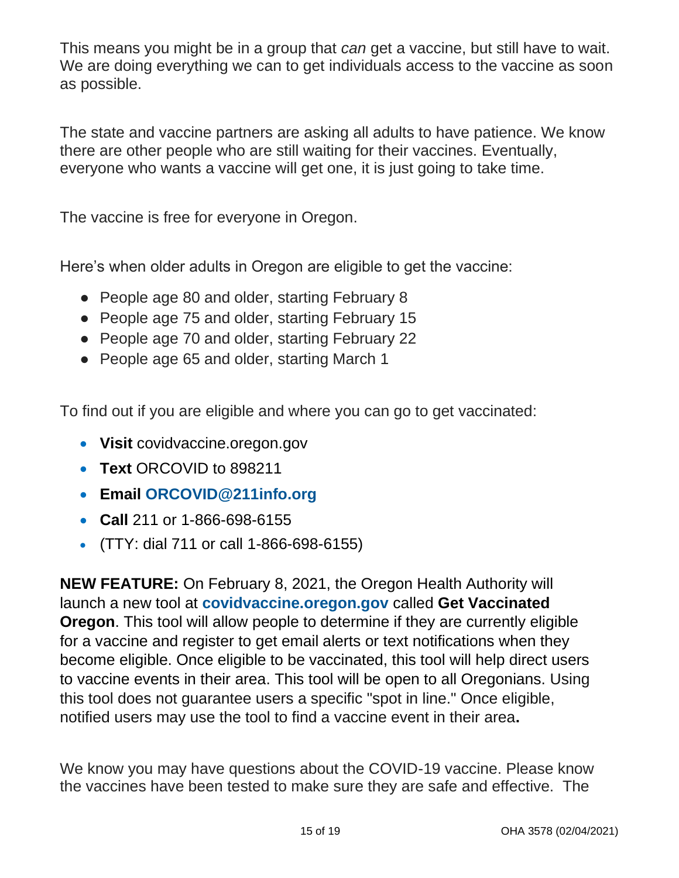This means you might be in a group that *can* get a vaccine, but still have to wait. We are doing everything we can to get individuals access to the vaccine as soon as possible.

The state and vaccine partners are asking all adults to have patience. We know there are other people who are still waiting for their vaccines. Eventually, everyone who wants a vaccine will get one, it is just going to take time.

The vaccine is free for everyone in Oregon.

Here's when older adults in Oregon are eligible to get the vaccine:

- People age 80 and older, starting February 8
- People age 75 and older, starting February 15
- People age 70 and older, starting February 22
- People age 65 and older, starting March 1

To find out if you are eligible and where you can go to get vaccinated:

- **Visit** covidvaccine.oregon.gov
- **Text** ORCOVID to 898211
- **Email [ORCOVID@211info.org](mailto:ORCOVID@211info.org)**
- **Call** 211 or 1-866-698-6155
- (TTY: dial 711 or call 1-866-698-6155)

**NEW FEATURE:** On February 8, 2021, the Oregon Health Authority will launch a new tool at **[covidvaccine.oregon.gov](http://covidvaccine.oregon.gov/)** called **Get Vaccinated Oregon**. This tool will allow people to determine if they are currently eligible for a vaccine and register to get email alerts or text notifications when they become eligible. Once eligible to be vaccinated, this tool will help direct users to vaccine events in their area. This tool will be open to all Oregonians. Using this tool does not guarantee users a specific "spot in line." Once eligible, notified users may use the tool to find a vaccine event in their area**.**

We know you may have questions about the COVID-19 vaccine. Please know the vaccines have been tested to make sure they are safe and effective. The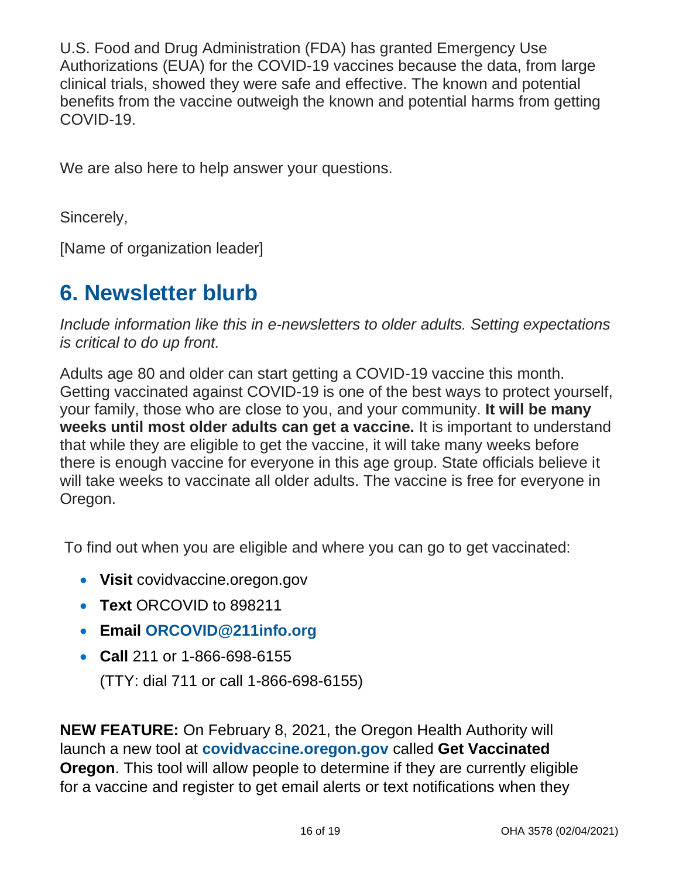U.S. Food and Drug Administration (FDA) has granted Emergency Use Authorizations (EUA) for the COVID-19 vaccines because the data, from large clinical trials, showed they were safe and effective. The known and potential benefits from the vaccine outweigh the known and potential harms from getting COVID-19.

We are also here to help answer your questions.

Sincerely,

[Name of organization leader]

### <span id="page-15-0"></span>**6. Newsletter blurb**

*Include information like this in e-newsletters to older adults. Setting expectations is critical to do up front.*

Adults age 80 and older can start getting a COVID-19 vaccine this month. Getting vaccinated against COVID-19 is one of the best ways to protect yourself, your family, those who are close to you, and your community. **It will be many weeks until most older adults can get a vaccine.** It is important to understand that while they are eligible to get the vaccine, it will take many weeks before there is enough vaccine for everyone in this age group. State officials believe it will take weeks to vaccinate all older adults. The vaccine is free for everyone in Oregon.

To find out when you are eligible and where you can go to get vaccinated:

- **Visit** covidvaccine.oregon.gov
- **Text** ORCOVID to 898211
- **Email [ORCOVID@211info.org](mailto:ORCOVID@211info.org)**
- **Call** 211 or 1-866-698-6155 (TTY: dial 711 or call 1-866-698-6155)

**NEW FEATURE:** On February 8, 2021, the Oregon Health Authority will launch a new tool at **[covidvaccine.oregon.gov](http://covidvaccine.oregon.gov/)** called **Get Vaccinated Oregon**. This tool will allow people to determine if they are currently eligible for a vaccine and register to get email alerts or text notifications when they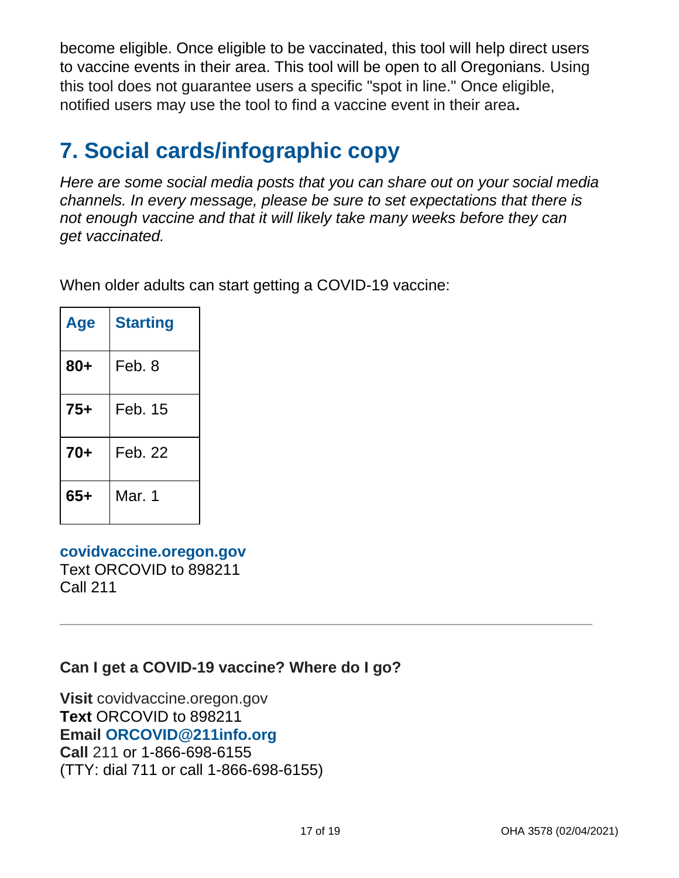become eligible. Once eligible to be vaccinated, this tool will help direct users to vaccine events in their area. This tool will be open to all Oregonians. Using this tool does not guarantee users a specific "spot in line." Once eligible, notified users may use the tool to find a vaccine event in their area**.**

## <span id="page-16-0"></span>**7. Social cards/infographic copy**

*Here are some social media posts that you can share out on your social media channels. In every message, please be sure to set expectations that there is not enough vaccine and that it will likely take many weeks before they can get vaccinated.* 

When older adults can start getting a COVID-19 vaccine:

| Age   | <b>Starting</b> |
|-------|-----------------|
| $80+$ | Feb. 8          |
| $75+$ | Feb. 15         |
| $70+$ | Feb. 22         |
| $65+$ | Mar. 1          |

**[covidvaccine.oregon.gov](http://covidvaccine.oregon.gov/)** Text ORCOVID to 898211 Call 211

**Can I get a COVID-19 vaccine? Where do I go?**

**Visit** covidvaccine.oregon.gov **Text** ORCOVID to 898211 **Email [ORCOVID@211info.org](mailto:ORCOVID@211info.org) Call** 211 or 1-866-698-6155 (TTY: dial 711 or call 1-866-698-6155)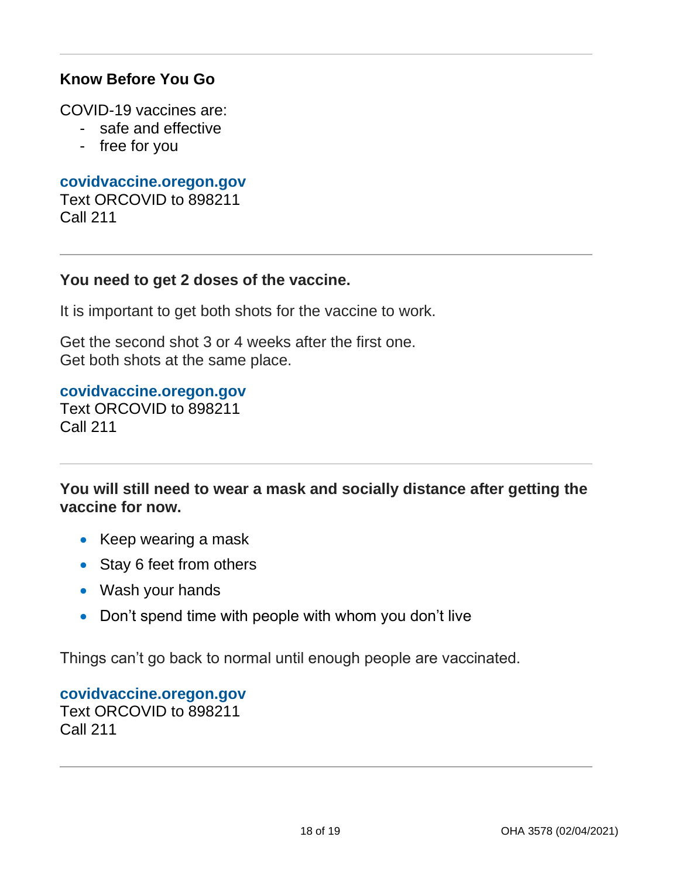#### **Know Before You Go**

COVID-19 vaccines are:

- safe and effective
- free for you

**[covidvaccine.oregon.gov](http://covidvaccine.oregon.gov/)** Text ORCOVID to 898211 Call 211

#### **You need to get 2 doses of the vaccine.**

It is important to get both shots for the vaccine to work.

Get the second shot 3 or 4 weeks after the first one. Get both shots at the same place.

#### **[covidvaccine.oregon.gov](http://covidvaccine.oregon.gov/)**

Text ORCOVID to 898211 Call 211

**You will still need to wear a mask and socially distance after getting the vaccine for now.**

- Keep wearing a mask
- Stay 6 feet from others
- Wash your hands
- Don't spend time with people with whom you don't live

Things can't go back to normal until enough people are vaccinated.

**[covidvaccine.oregon.gov](http://covidvaccine.oregon.gov/)** Text ORCOVID to 898211 Call 211